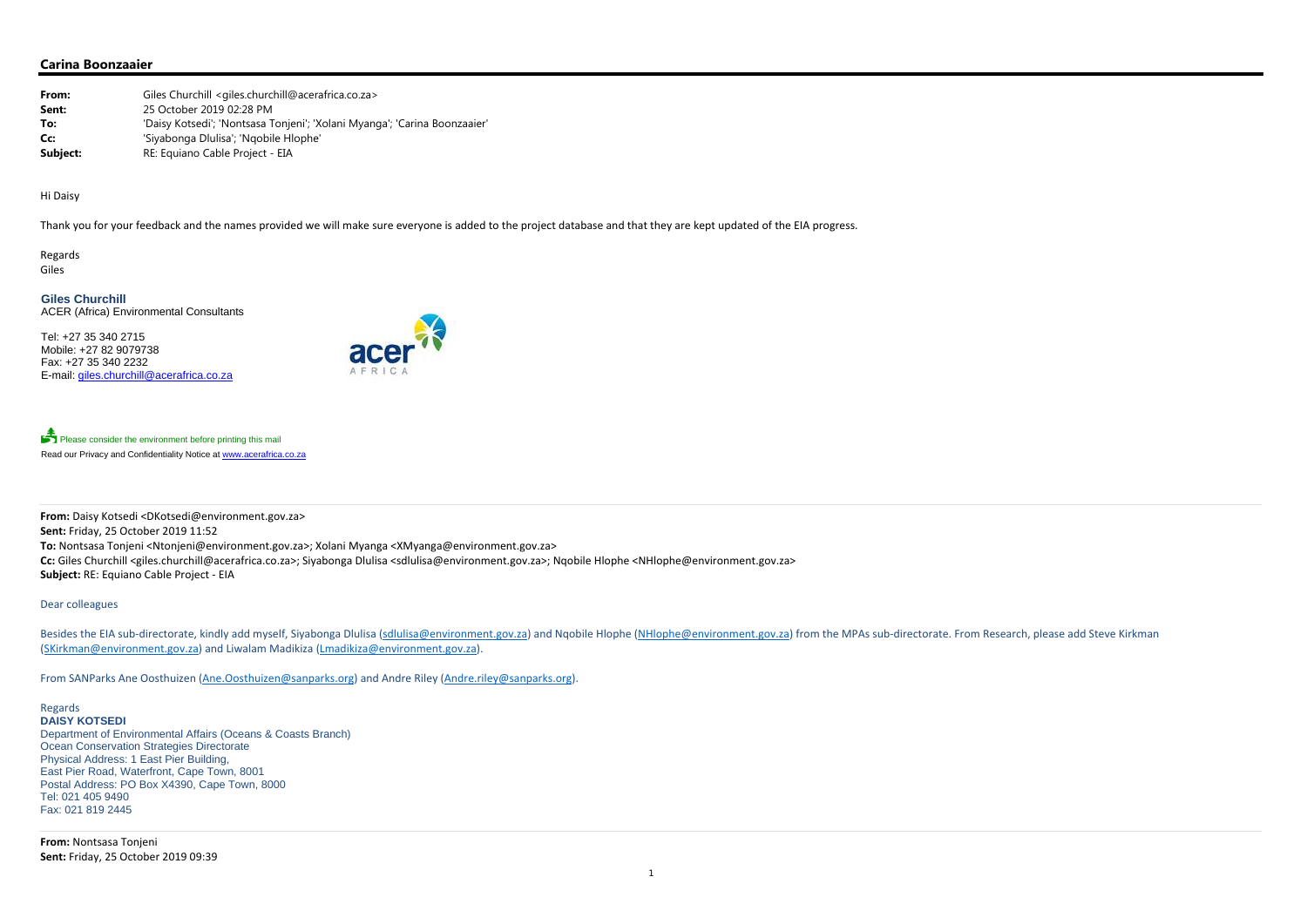**From:** Giles Churchill <giles.churchill@acerafrica.co.za> **Sent:** 25 October 2019 02:28 PM**To:** 'Daisy Kotsedi'; 'Nontsasa Tonjeni'; 'Xolani Myanga'; 'Carina Boonzaaier' **Cc:** 'Siyabonga Dlulisa'; 'Nqobile Hlophe' **Subject:** RE: Equiano Cable Project - EIA

# **Carina Boonzaaier**

Tel: +27 35 340 2715 Mobile: +27 82 9079738 Fax: +27 35 340 2232 E-mail: giles.churchill@acerafrica.co.za



Please consider the environment before printing this mail Read our Privacy and Confidentiality Notice at www.acerafrica.co.za

Hi Daisy

Thank you for your feedback and the names provided we will make sure everyone is added to the project database and that they are kept updated of the EIA progress.

Regards Giles

**Giles Churchill**ACER (Africa) Environmental Consultants

Besides the EIA sub-directorate, kindly add myself, Siyabonga Dlulisa (<u>sdlulisa@environment.gov.za</u>) and Nqobile Hlophe (NHlophe@environment.gov.za) from the MPAs sub-directorate. From Research, please add Steve Kirkman (SKirkman@environment.gov.za) and Liwalam Madikiza (Lmadikiza@environment.gov.za).

1

**From:** Daisy Kotsedi <DKotsedi@environment.gov.za> **Sent:** Friday, 25 October 2019 11:52 **To:** Nontsasa Tonjeni <Ntonjeni@environment.gov.za>; Xolani Myanga <XMyanga@environment.gov.za> **Cc:** Giles Churchill <giles.churchill@acerafrica.co.za>; Siyabonga Dlulisa <sdlulisa@environment.gov.za>; Nqobile Hlophe <NHlophe@environment.gov.za> **Subject:** RE: Equiano Cable Project ‐ EIA

## Dear colleagues

From SANParks Ane Oosthuizen (Ane.Oosthuizen@sanparks.org) and Andre Riley (Andre.riley@sanparks.org).

Regards **DAISY KOTSEDI**Department of Environmental Affairs (Oceans & Coasts Branch) Ocean Conservation Strategies Directorate Physical Address: 1 East Pier Building, East Pier Road, Waterfront, Cape Town, 8001 Postal Address: PO Box X4390, Cape Town, 8000 Tel: 021 405 9490 Fax: 021 819 2445

**From:** Nontsasa Tonjeni **Sent:** Friday, 25 October 2019 09:39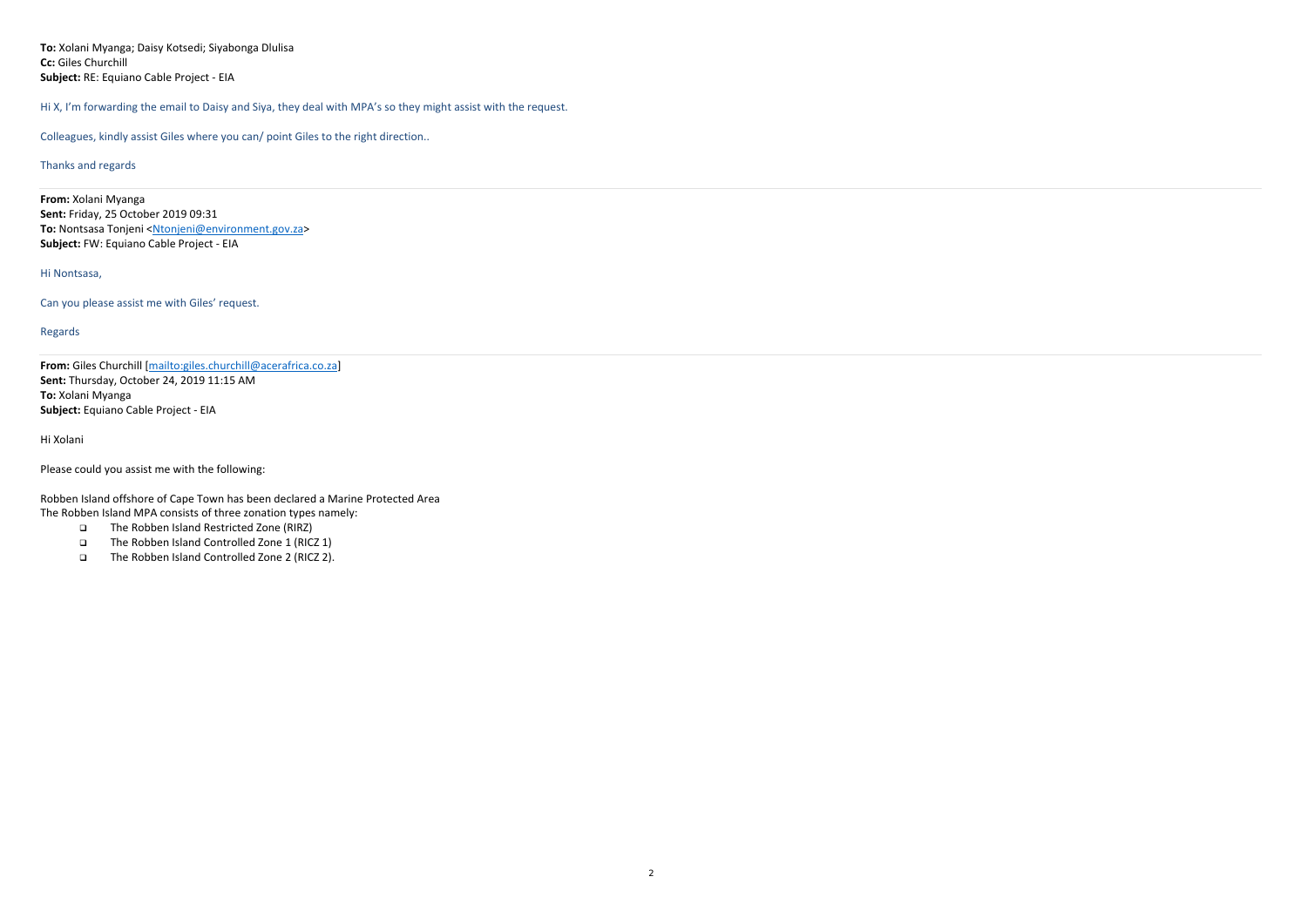**To:** Xolani Myanga; Daisy Kotsedi; Siyabonga Dlulisa **Cc:** Giles Churchill **Subject:** RE: Equiano Cable Project ‐ EIA

Hi X, I'm forwarding the email to Daisy and Siya, they deal with MPA's so they might assist with the request.

Colleagues, kindly assist Giles where you can/ point Giles to the right direction..

#### Thanks and regards

**From:** Xolani Myanga **Sent:** Friday, 25 October 2019 09:31 **To:** Nontsasa Tonjeni <<u>Ntonjeni@environment.gov.za</u>> **Subject:** FW: Equiano Cable Project ‐ EIA

## Hi Nontsasa,

Can you please assist me with Giles' request.

- $\Box$ The Robben Island Restricted Zone (RIRZ)
- $\Box$ The Robben Island Controlled Zone 1 (RICZ 1)
- $\Box$ The Robben Island Controlled Zone 2 (RICZ 2).

# Regards

**From:** Giles Churchill [mailto:giles.churchill@acerafrica.co.za] **Sent:** Thursday, October 24, 2019 11:15 AM **To:** Xolani Myanga **Subject:** Equiano Cable Project ‐ EIA

Hi Xolani

Please could you assist me with the following:

Robben Island offshore of Cape Town has been declared <sup>a</sup> Marine Protected Area The Robben Island MPA consists of three zonation types namely: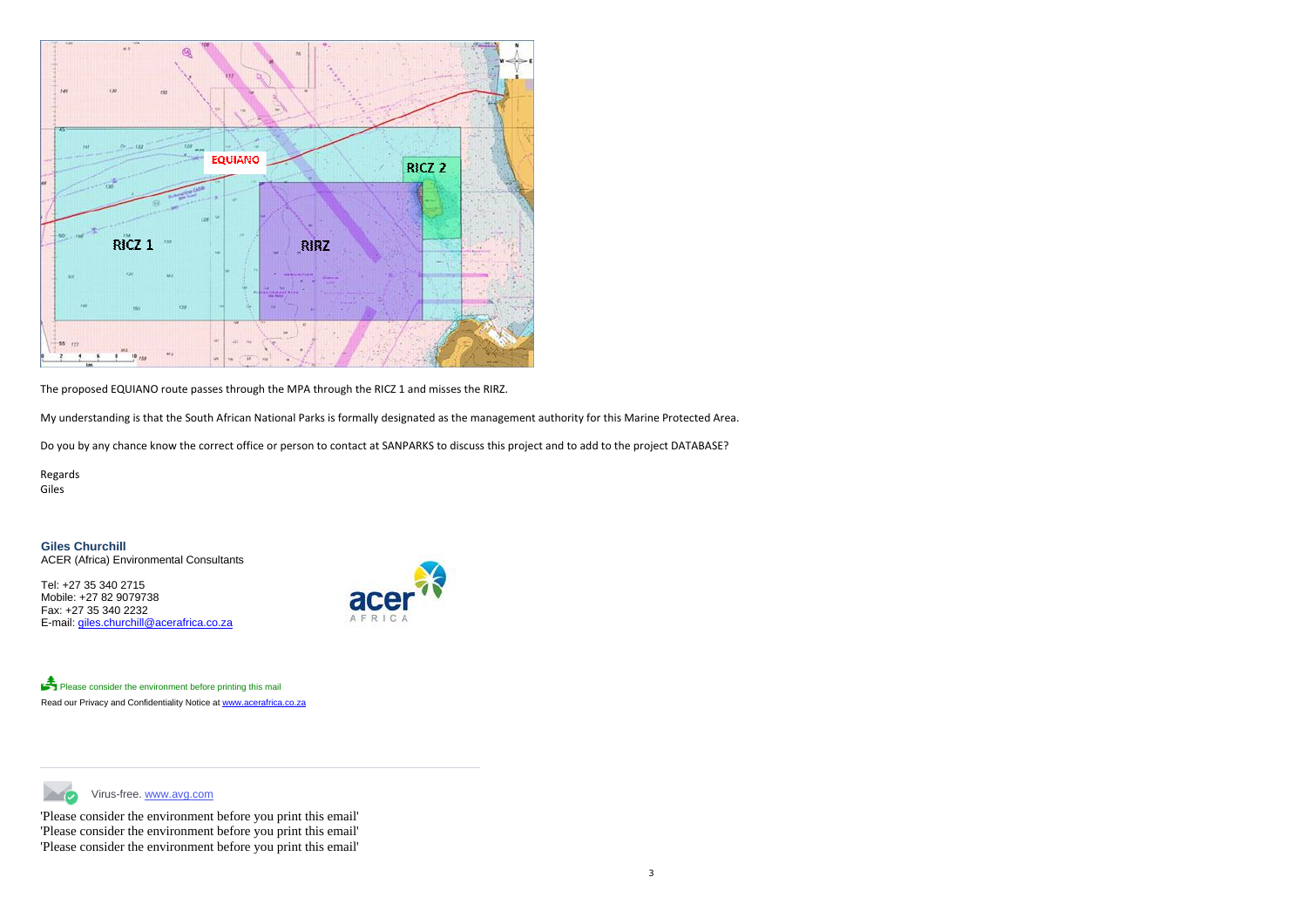

The proposed EQUIANO route passes through the MPA through the RICZ 1 and misses the RIRZ.

My understanding is that the South African National Parks is formally designated as the management authority for this Marine Protected Area.

Do you by any chance know the correct office or person to contact at SANPARKS to discuss this project and to add to the project DATABASE?

Virus-free. www.avg.com **Simple Street** 

Regards Giles

**Giles Churchill**ACER (Africa) Environmental Consultants

Tel: +27 35 340 2715 Mobile: +27 82 9079738 Fax: +27 35 340 2232 E-mail: giles.churchill@acerafrica.co.za



Please consider the environment before printing this mail Read our Privacy and Confidentiality Notice at www.acerafrica.co.za

'Please consider the environment before you print this email' 'Please consider the environment before you print this email' 'Please consider the environment before you print this email'